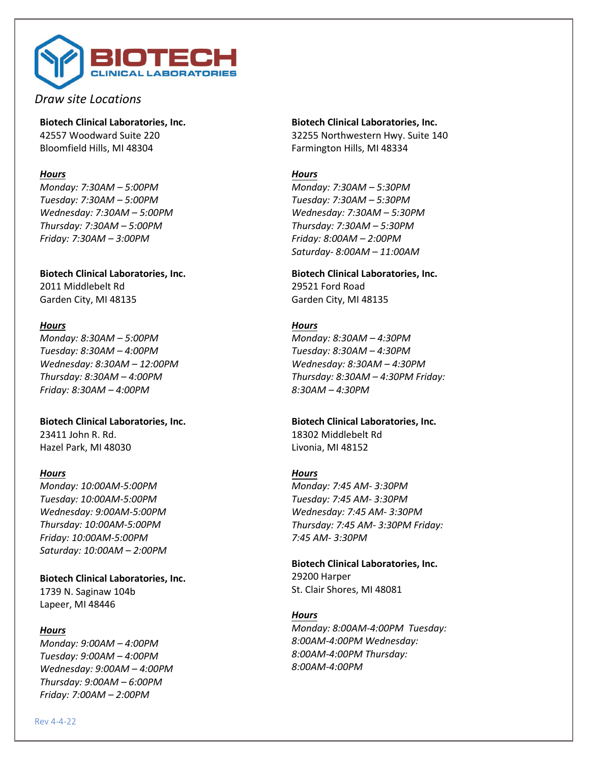

*Draw site Locations*

**Biotech Clinical Laboratories, Inc.** 42557 Woodward Suite 220 Bloomfield Hills, MI 48304

## *Hours*

*Monday: 7:30AM – 5:00PM Tuesday: 7:30AM – 5:00PM Wednesday: 7:30AM – 5:00PM Thursday: 7:30AM – 5:00PM Friday: 7:30AM – 3:00PM*

**Biotech Clinical Laboratories, Inc.** 2011 Middlebelt Rd Garden City, MI 48135

## *Hours*

*Monday: 8:30AM – 5:00PM Tuesday: 8:30AM – 4:00PM Wednesday: 8:30AM – 12:00PM Thursday: 8:30AM – 4:00PM Friday: 8:30AM – 4:00PM*

**Biotech Clinical Laboratories, Inc.** 23411 John R. Rd. Hazel Park, MI 48030

## *Hours*

*Monday: 10:00AM-5:00PM Tuesday: 10:00AM-5:00PM Wednesday: 9:00AM-5:00PM Thursday: 10:00AM-5:00PM Friday: 10:00AM-5:00PM Saturday: 10:00AM – 2:00PM*

**Biotech Clinical Laboratories, Inc.** 1739 N. Saginaw 104b Lapeer, MI 48446

### *Hours*

*Monday: 9:00AM – 4:00PM Tuesday: 9:00AM – 4:00PM Wednesday: 9:00AM – 4:00PM Thursday: 9:00AM – 6:00PM Friday: 7:00AM – 2:00PM*

**Biotech Clinical Laboratories, Inc.** 32255 Northwestern Hwy. Suite 140 Farmington Hills, MI 48334

# *Hours*

*Monday: 7:30AM – 5:30PM Tuesday: 7:30AM – 5:30PM Wednesday: 7:30AM – 5:30PM Thursday: 7:30AM – 5:30PM Friday: 8:00AM – 2:00PM Saturday- 8:00AM – 11:00AM*

**Biotech Clinical Laboratories, Inc.** 29521 Ford Road Garden City, MI 48135

## *Hours*

*Monday: 8:30AM – 4:30PM Tuesday: 8:30AM – 4:30PM Wednesday: 8:30AM – 4:30PM Thursday: 8:30AM – 4:30PM Friday: 8:30AM – 4:30PM*

# **Biotech Clinical Laboratories, Inc.**

18302 Middlebelt Rd Livonia, MI 48152

# *Hours*

*Monday: 7:45 AM- 3:30PM Tuesday: 7:45 AM- 3:30PM Wednesday: 7:45 AM- 3:30PM Thursday: 7:45 AM- 3:30PM Friday: 7:45 AM- 3:30PM* 

**Biotech Clinical Laboratories, Inc.** 29200 Harper St. Clair Shores, MI 48081

# *Hours*

*Monday: 8:00AM-4:00PM Tuesday: 8:00AM-4:00PM Wednesday: 8:00AM-4:00PM Thursday: 8:00AM-4:00PM*